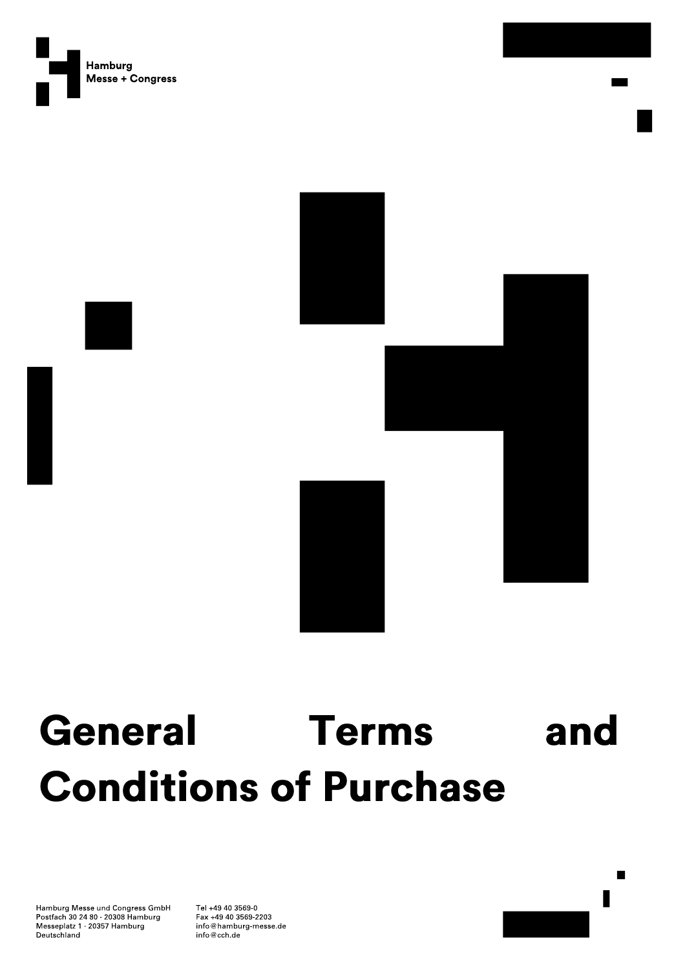



# General Terms and **Conditions of Purchase**

Hamburg Messe und Congress GmbH Postfach 30 24 80 20308 Hamburg Messeplatz 1 20357 Hamburg Deutschland

Tel +49 40 3569-0 Fax +49 40 3569-2203 info@hamburg-messe.de info@cch.de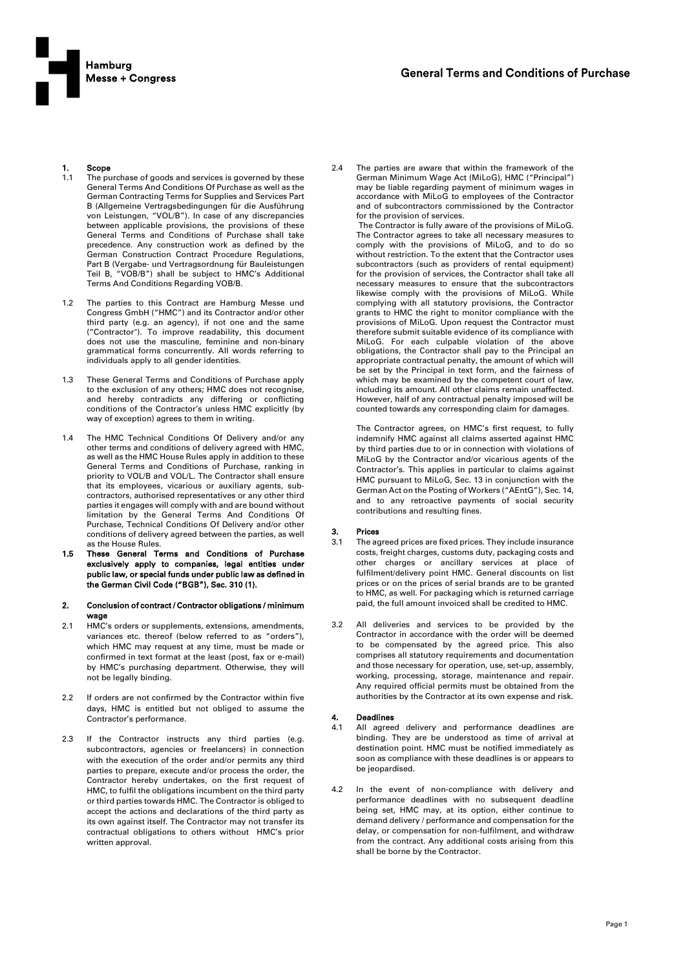

## 1. Scope<br>1.1 The pu

- The purchase of goods and services is governed by these General Terms And Conditions Of Purchase as well as the German Contracting Terms for Supplies and Services Part B (Allgemeine Vertragsbedingungen für die Ausführung von Leistungen, "VOL/B"). In case of any discrepancies between applicable provisions, the provisions of these General Terms and Conditions of Purchase shall take precedence. Any construction work as defined by the German Construction Contract Procedure Regulations, Part B (Vergabe- und Vertragsordnung für Bauleistungen Teil B, "VOB/B") shall be subject to HMC's Additional Terms And Conditions Regarding VOB/B.
- 1.2 The parties to this Contract are Hamburg Messe und Congress GmbH ("HMC") and its Contractor and/or other third party (e.g. an agency), if not one and the same ("Contractor"). To improve readability, this document does not use the masculine, feminine and non-binary grammatical forms concurrently. All words referring to individuals apply to all gender identities.
- 1.3 These General Terms and Conditions of Purchase apply to the exclusion of any others; HMC does not recognise, and hereby contradicts any differing or conflicting conditions of the Contractor's unless HMC explicitly (by way of exception) agrees to them in writing.
- 1.4 The HMC Technical Conditions Of Delivery and/or any other terms and conditions of delivery agreed with HMC, as well as the HMC House Rules apply in addition to these General Terms and Conditions of Purchase, ranking in priority to VOL/B and VOL/L. The Contractor shall ensure that its employees, vicarious or auxiliary agents, subcontractors, authorised representatives or any other third parties it engages will comply with and are bound without limitation by the General Terms And Conditions Of Purchase, Technical Conditions Of Delivery and/or other conditions of delivery agreed between the parties, as well as the House Rules.
- 1.5 These General Terms and Conditions of Purchase exclusively apply to companies, legal entities under public law, or special funds under public law as defined in the German Civil Code ("BGB"), Sec. 310 (1).
- 2. Conclusion of contract / Contractor obligations / minimum wage
- 2.1 HMC's orders or supplements, extensions, amendments, variances etc. thereof (below referred to as "orders"), which HMC may request at any time, must be made or confirmed in text format at the least (post, fax or e-mail) by HMC's purchasing department. Otherwise, they will not be legally binding.
- 2.2 If orders are not confirmed by the Contractor within five days, HMC is entitled but not obliged to assume the Contractor's performance.
- 2.3 If the Contractor instructs any third parties (e.g. subcontractors, agencies or freelancers) in connection with the execution of the order and/or permits any third parties to prepare, execute and/or process the order, the Contractor hereby undertakes, on the first request of HMC, to fulfil the obligations incumbent on the third party or third parties towards HMC. The Contractor is obliged to accept the actions and declarations of the third party as its own against itself. The Contractor may not transfer its contractual obligations to others without HMC's prior written approval.

2.4 The parties are aware that within the framework of the German Minimum Wage Act (MiLoG), HMC ("Principal") may be liable regarding payment of minimum wages in accordance with MiLoG to employees of the Contractor and of subcontractors commissioned by the Contractor for the provision of services.

The Contractor is fully aware of the provisions of MiLoG. The Contractor agrees to take all necessary measures to comply with the provisions of MiLoG, and to do so without restriction. To the extent that the Contractor uses subcontractors (such as providers of rental equipment) for the provision of services, the Contractor shall take all necessary measures to ensure that the subcontractors likewise comply with the provisions of MiLoG. While complying with all statutory provisions, the Contractor grants to HMC the right to monitor compliance with the provisions of MiLoG. Upon request the Contractor must therefore submit suitable evidence of its compliance with MiLoG. For each culpable violation of the above obligations, the Contractor shall pay to the Principal an appropriate contractual penalty, the amount of which will be set by the Principal in text form, and the fairness of which may be examined by the competent court of law, including its amount. All other claims remain unaffected. However, half of any contractual penalty imposed will be counted towards any corresponding claim for damages.

The Contractor agrees, on HMC's first request, to fully indemnify HMC against all claims asserted against HMC by third parties due to or in connection with violations of MiLoG by the Contractor and/or vicarious agents of the Contractor's. This applies in particular to claims against HMC pursuant to MiLoG, Sec. 13 in conjunction with the German Act on the Posting of Workers ("AEntG"), Sec. 14, and to any retroactive payments of social security contributions and resulting fines.

#### **Prices**

- 3.1 The agreed prices are fixed prices. They include insurance costs, freight charges, customs duty, packaging costs and other charges or ancillary services at place of fulfilment/delivery point HMC. General discounts on list prices or on the prices of serial brands are to be granted to HMC, as well. For packaging which is returned carriage paid, the full amount invoiced shall be credited to HMC.
- 3.2 All deliveries and services to be provided by the Contractor in accordance with the order will be deemed to be compensated by the agreed price. This also comprises all statutory requirements and documentation and those necessary for operation, use, set-up, assembly, working, processing, storage, maintenance and repair. Any required official permits must be obtained from the authorities by the Contractor at its own expense and risk.

#### **Deadlines**

- 4.1 All agreed delivery and performance deadlines are binding. They are be understood as time of arrival at destination point. HMC must be notified immediately as soon as compliance with these deadlines is or appears to be jeopardised.
- 4.2 In the event of non-compliance with delivery and performance deadlines with no subsequent deadline being set, HMC may, at its option, either continue to demand delivery / performance and compensation for the delay, or compensation for non-fulfilment, and withdraw from the contract. Any additional costs arising from this shall be borne by the Contractor.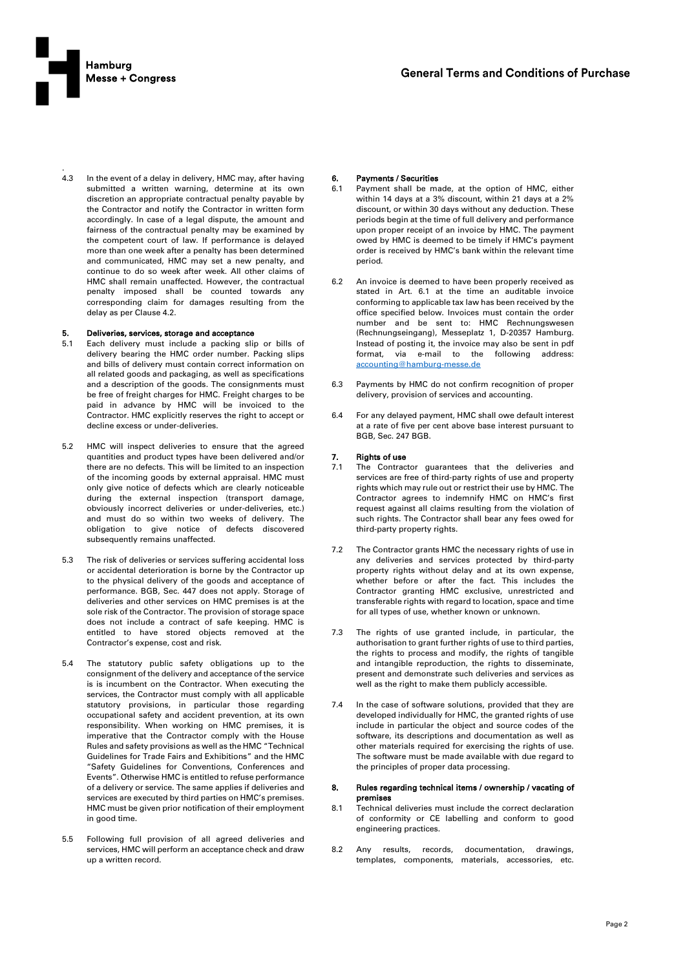

.

4.3 In the event of a delay in delivery, HMC may, after having submitted a written warning, determine at its own discretion an appropriate contractual penalty payable by the Contractor and notify the Contractor in written form accordingly. In case of a legal dispute, the amount and fairness of the contractual penalty may be examined by the competent court of law. If performance is delayed more than one week after a penalty has been determined and communicated, HMC may set a new penalty, and continue to do so week after week. All other claims of HMC shall remain unaffected. However, the contractual penalty imposed shall be counted towards any corresponding claim for damages resulting from the delay as per Clause 4.2.

#### 5. Deliveries, services, storage and acceptance

- 5.1 Each delivery must include a packing slip or bills of delivery bearing the HMC order number. Packing slips and bills of delivery must contain correct information on all related goods and packaging, as well as specifications and a description of the goods. The consignments must be free of freight charges for HMC. Freight charges to be paid in advance by HMC will be invoiced to the Contractor. HMC explicitly reserves the right to accept or decline excess or under-deliveries.
- 5.2 HMC will inspect deliveries to ensure that the agreed quantities and product types have been delivered and/or there are no defects. This will be limited to an inspection of the incoming goods by external appraisal. HMC must only give notice of defects which are clearly noticeable during the external inspection (transport damage, obviously incorrect deliveries or under-deliveries, etc.) and must do so within two weeks of delivery. The obligation to give notice of defects discovered subsequently remains unaffected.
- 5.3 The risk of deliveries or services suffering accidental loss or accidental deterioration is borne by the Contractor up to the physical delivery of the goods and acceptance of performance. BGB, Sec. 447 does not apply. Storage of deliveries and other services on HMC premises is at the sole risk of the Contractor. The provision of storage space does not include a contract of safe keeping. HMC is entitled to have stored objects removed at the Contractor's expense, cost and risk.
- 5.4 The statutory public safety obligations up to the consignment of the delivery and acceptance of the service is is incumbent on the Contractor. When executing the services, the Contractor must comply with all applicable statutory provisions, in particular those regarding occupational safety and accident prevention, at its own responsibility. When working on HMC premises, it is imperative that the Contractor comply with the House Rules and safety provisions as well as the HMC "Technical Guidelines for Trade Fairs and Exhibitions" and the HMC "Safety Guidelines for Conventions, Conferences and Events". Otherwise HMC is entitled to refuse performance of a delivery or service. The same applies if deliveries and services are executed by third parties on HMC's premises. HMC must be given prior notification of their employment in good time.
- 5.5 Following full provision of all agreed deliveries and services, HMC will perform an acceptance check and draw up a written record.

# 6. Payments / Securities<br>6.1 Payment shall be ma

- Payment shall be made, at the option of HMC, either within 14 days at a 3% discount, within 21 days at a 2% discount, or within 30 days without any deduction. These periods begin at the time of full delivery and performance upon proper receipt of an invoice by HMC. The payment owed by HMC is deemed to be timely if HMC's payment order is received by HMC's bank within the relevant time period.
- 6.2 An invoice is deemed to have been properly received as stated in Art. 6.1 at the time an auditable invoice conforming to applicable tax law has been received by the office specified below. Invoices must contain the order number and be sent to: HMC Rechnungswesen (Rechnungseingang), Messeplatz 1, D-20357 Hamburg. Instead of posting it, the invoice may also be sent in pdf format, via e-mail to the following address: [accounting@hamburg-messe.de](mailto:accounting@hamburg-messe.de)
- 6.3 Payments by HMC do not confirm recognition of proper delivery, provision of services and accounting.
- 6.4 For any delayed payment, HMC shall owe default interest at a rate of five per cent above base interest pursuant to BGB, Sec. 247 BGB.

#### 7. Rights of use

- 7.1 The Contractor guarantees that the deliveries and services are free of third-party rights of use and property rights which may rule out or restrict their use by HMC. The Contractor agrees to indemnify HMC on HMC's first request against all claims resulting from the violation of such rights. The Contractor shall bear any fees owed for third-party property rights.
- 7.2 The Contractor grants HMC the necessary rights of use in any deliveries and services protected by third-party property rights without delay and at its own expense, whether before or after the fact. This includes the Contractor granting HMC exclusive, unrestricted and transferable rights with regard to location, space and time for all types of use, whether known or unknown.
- 7.3 The rights of use granted include, in particular, the authorisation to grant further rights of use to third parties, the rights to process and modify, the rights of tangible and intangible reproduction, the rights to disseminate, present and demonstrate such deliveries and services as well as the right to make them publicly accessible.
- 7.4 In the case of software solutions, provided that they are developed individually for HMC, the granted rights of use include in particular the object and source codes of the software, its descriptions and documentation as well as other materials required for exercising the rights of use. The software must be made available with due regard to the principles of proper data processing.

#### 8. Rules regarding technical items / ownership / vacating of premises

- 8.1 Technical deliveries must include the correct declaration of conformity or CE labelling and conform to good engineering practices.
- 8.2 Any results, records, documentation, drawings, templates, components, materials, accessories, etc.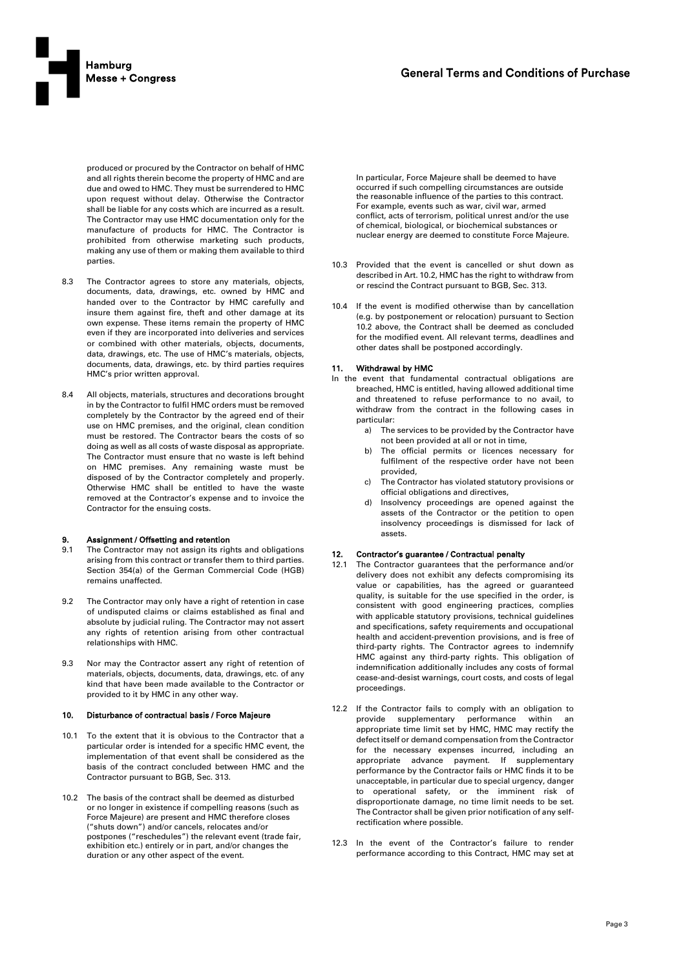

produced or procured by the Contractor on behalf of HMC and all rights therein become the property of HMC and are due and owed to HMC. They must be surrendered to HMC upon request without delay. Otherwise the Contractor shall be liable for any costs which are incurred as a result. The Contractor may use HMC documentation only for the manufacture of products for HMC. The Contractor is prohibited from otherwise marketing such products, making any use of them or making them available to third parties.

- 8.3 The Contractor agrees to store any materials, objects, documents, data, drawings, etc. owned by HMC and handed over to the Contractor by HMC carefully and insure them against fire, theft and other damage at its own expense. These items remain the property of HMC even if they are incorporated into deliveries and services or combined with other materials, objects, documents, data, drawings, etc. The use of HMC's materials, objects, documents, data, drawings, etc. by third parties requires HMC's prior written approval.
- 8.4 All objects, materials, structures and decorations brought in by the Contractor to fulfil HMC orders must be removed completely by the Contractor by the agreed end of their use on HMC premises, and the original, clean condition must be restored. The Contractor bears the costs of so doing as well as all costs of waste disposal as appropriate. The Contractor must ensure that no waste is left behind on HMC premises. Any remaining waste must be disposed of by the Contractor completely and properly. Otherwise HMC shall be entitled to have the waste removed at the Contractor's expense and to invoice the Contractor for the ensuing costs.

#### 9. Assignment / Offsetting and retention

- 9.1 The Contractor may not assign its rights and obligations arising from this contract or transfer them to third parties. Section 354(a) of the German Commercial Code (HGB) remains unaffected.
- 9.2 The Contractor may only have a right of retention in case of undisputed claims or claims established as final and absolute by judicial ruling. The Contractor may not assert any rights of retention arising from other contractual relationships with HMC.
- 9.3 Nor may the Contractor assert any right of retention of materials, objects, documents, data, drawings, etc. of any kind that have been made available to the Contractor or provided to it by HMC in any other way.

#### 10. Disturbance of contractual basis / Force Majeure

- 10.1 To the extent that it is obvious to the Contractor that a particular order is intended for a specific HMC event, the implementation of that event shall be considered as the basis of the contract concluded between HMC and the Contractor pursuant to BGB, Sec. 313.
- 10.2 The basis of the contract shall be deemed as disturbed or no longer in existence if compelling reasons (such as Force Majeure) are present and HMC therefore closes ("shuts down") and/or cancels, relocates and/or postpones ("reschedules") the relevant event (trade fair, exhibition etc.) entirely or in part, and/or changes the duration or any other aspect of the event.

In particular, Force Majeure shall be deemed to have occurred if such compelling circumstances are outside the reasonable influence of the parties to this contract. For example, events such as war, civil war, armed conflict, acts of terrorism, political unrest and/or the use of chemical, biological, or biochemical substances or nuclear energy are deemed to constitute Force Majeure.

- 10.3 Provided that the event is cancelled or shut down as described in Art. 10.2, HMC has the right to withdraw from or rescind the Contract pursuant to BGB, Sec. 313.
- 10.4 If the event is modified otherwise than by cancellation (e.g. by postponement or relocation) pursuant to Section 10.2 above, the Contract shall be deemed as concluded for the modified event. All relevant terms, deadlines and other dates shall be postponed accordingly.

#### 11. Withdrawal by HMC

- In the event that fundamental contractual obligations are breached, HMC is entitled, having allowed additional time and threatened to refuse performance to no avail, to withdraw from the contract in the following cases in particular:
	- a) The services to be provided by the Contractor have not been provided at all or not in time,
	- b) The official permits or licences necessary for fulfilment of the respective order have not been provided,
	- c) The Contractor has violated statutory provisions or official obligations and directives,
	- d) Insolvency proceedings are opened against the assets of the Contractor or the petition to open insolvency proceedings is dismissed for lack of assets.

#### 12. Contractor's guarantee / Contractual penalty

- 12.1 The Contractor guarantees that the performance and/or delivery does not exhibit any defects compromising its value or capabilities, has the agreed or guaranteed quality, is suitable for the use specified in the order, is consistent with good engineering practices, complies with applicable statutory provisions, technical guidelines and specifications, safety requirements and occupational health and accident-prevention provisions, and is free of third-party rights. The Contractor agrees to indemnify HMC against any third-party rights. This obligation of indemnification additionally includes any costs of formal cease-and-desist warnings, court costs, and costs of legal proceedings.
- 12.2 If the Contractor fails to comply with an obligation to provide supplementary performance within an appropriate time limit set by HMC, HMC may rectify the defect itself or demand compensation from the Contractor for the necessary expenses incurred, including an appropriate advance payment. If supplementary performance by the Contractor fails or HMC finds it to be unacceptable, in particular due to special urgency, danger to operational safety, or the imminent risk of disproportionate damage, no time limit needs to be set. The Contractor shall be given prior notification of any selfrectification where possible.
- 12.3 In the event of the Contractor's failure to render performance according to this Contract, HMC may set at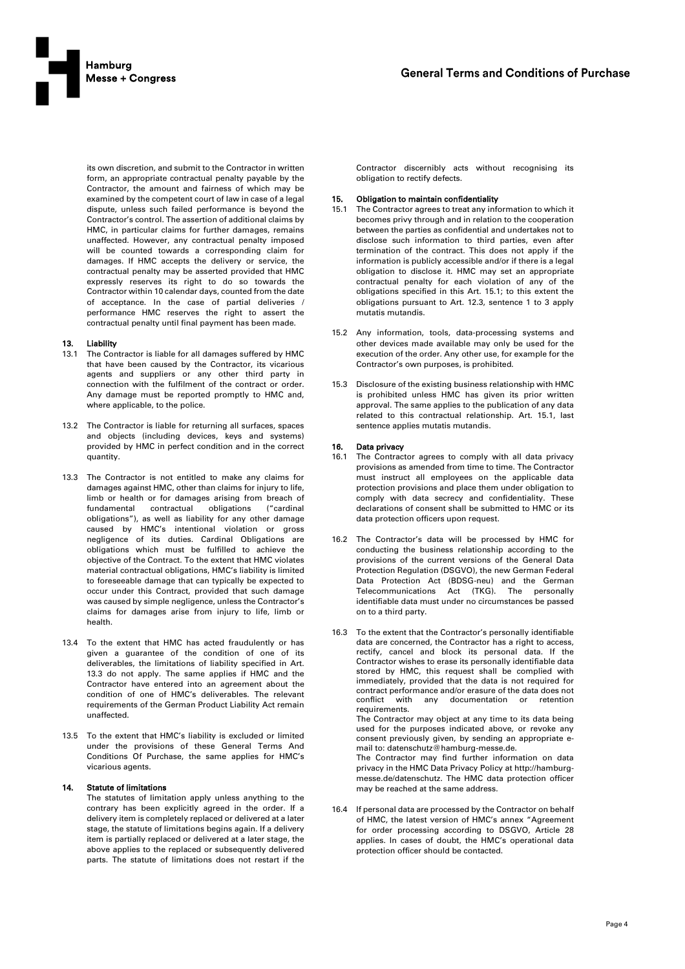

its own discretion, and submit to the Contractor in written form, an appropriate contractual penalty payable by the Contractor, the amount and fairness of which may be examined by the competent court of law in case of a legal dispute, unless such failed performance is beyond the Contractor's control. The assertion of additional claims by HMC, in particular claims for further damages, remains unaffected. However, any contractual penalty imposed will be counted towards a corresponding claim for damages. If HMC accepts the delivery or service, the contractual penalty may be asserted provided that HMC expressly reserves its right to do so towards the Contractor within 10 calendar days, counted from the date of acceptance. In the case of partial deliveries / performance HMC reserves the right to assert the contractual penalty until final payment has been made.

#### 13. Liability

- 13.1 The Contractor is liable for all damages suffered by HMC that have been caused by the Contractor, its vicarious agents and suppliers or any other third party in connection with the fulfilment of the contract or order. Any damage must be reported promptly to HMC and, where applicable, to the police.
- 13.2 The Contractor is liable for returning all surfaces, spaces and objects (including devices, keys and systems) provided by HMC in perfect condition and in the correct quantity.
- 13.3 The Contractor is not entitled to make any claims for damages against HMC, other than claims for injury to life, limb or health or for damages arising from breach of fundamental contractual obligations ("cardinal obligations"), as well as liability for any other damage caused by HMC's intentional violation or gross negligence of its duties. Cardinal Obligations are obligations which must be fulfilled to achieve the objective of the Contract. To the extent that HMC violates material contractual obligations, HMC's liability is limited to foreseeable damage that can typically be expected to occur under this Contract, provided that such damage was caused by simple negligence, unless the Contractor's claims for damages arise from injury to life, limb or health.
- 13.4 To the extent that HMC has acted fraudulently or has given a guarantee of the condition of one of its deliverables, the limitations of liability specified in Art. 13.3 do not apply. The same applies if HMC and the Contractor have entered into an agreement about the condition of one of HMC's deliverables. The relevant requirements of the German Product Liability Act remain unaffected.
- 13.5 To the extent that HMC's liability is excluded or limited under the provisions of these General Terms And Conditions Of Purchase, the same applies for HMC's vicarious agents.

## 14. Statute of limitations

The statutes of limitation apply unless anything to the contrary has been explicitly agreed in the order. If a delivery item is completely replaced or delivered at a later stage, the statute of limitations begins again. If a delivery item is partially replaced or delivered at a later stage, the above applies to the replaced or subsequently delivered parts. The statute of limitations does not restart if the

Contractor discernibly acts without recognising its obligation to rectify defects.

#### 15. Obligation to maintain confidentiality

- 15.1 The Contractor agrees to treat any information to which it becomes privy through and in relation to the cooperation between the parties as confidential and undertakes not to disclose such information to third parties, even after termination of the contract. This does not apply if the information is publicly accessible and/or if there is a legal obligation to disclose it. HMC may set an appropriate contractual penalty for each violation of any of the obligations specified in this Art. 15.1; to this extent the obligations pursuant to Art. 12.3, sentence 1 to 3 apply mutatis mutandis.
- 15.2 Any information, tools, data-processing systems and other devices made available may only be used for the execution of the order. Any other use, for example for the Contractor's own purposes, is prohibited.
- Disclosure of the existing business relationship with HMC is prohibited unless HMC has given its prior written approval. The same applies to the publication of any data related to this contractual relationship. Art. 15.1, last sentence applies mutatis mutandis.

#### 16. Data privacy

- 16.1 The Contractor agrees to comply with all data privacy provisions as amended from time to time. The Contractor must instruct all employees on the applicable data protection provisions and place them under obligation to comply with data secrecy and confidentiality. These declarations of consent shall be submitted to HMC or its data protection officers upon request.
- 16.2 The Contractor's data will be processed by HMC for conducting the business relationship according to the provisions of the current versions of the General Data Protection Regulation (DSGVO), the new German Federal Data Protection Act (BDSG-neu) and the German Telecommunications Act (TKG). The personally identifiable data must under no circumstances be passed on to a third party.
- 16.3 To the extent that the Contractor's personally identifiable data are concerned, the Contractor has a right to access, rectify, cancel and block its personal data. If the Contractor wishes to erase its personally identifiable data stored by HMC, this request shall be complied with immediately, provided that the data is not required for contract performance and/or erasure of the data does not conflict with any documentation or retention requirements.

The Contractor may object at any time to its data being used for the purposes indicated above, or revoke any consent previously given, by sending an appropriate email to: datenschutz@hamburg-messe.de.

The Contractor may find further information on data privacy in the HMC Data Privacy Policy at http://hamburgmesse.de/datenschutz. The HMC data protection officer may be reached at the same address.

16.4 If personal data are processed by the Contractor on behalf of HMC, the latest version of HMC's annex "Agreement for order processing according to DSGVO, Article 28 applies. In cases of doubt, the HMC's operational data protection officer should be contacted.